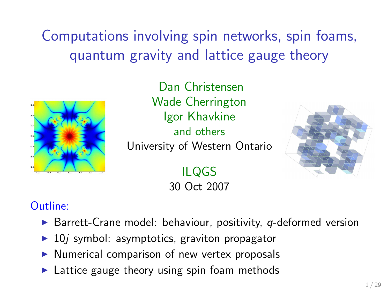Computations involving spin networks, spin foams, quantum gravity and lattice gauge theory



Dan Christensen Wade Cherrington Igor Khavkine and others University of Western Ontario



ILQGS 30 Oct 2007

### Outline:

- $\triangleright$  Barrett-Crane model: behaviour, positivity, q-deformed version
- $\blacktriangleright$  10*j* symbol: asymptotics, graviton propagator
- $\triangleright$  Numerical comparison of new vertex proposals
- $\blacktriangleright$  Lattice gauge theory using spin foam methods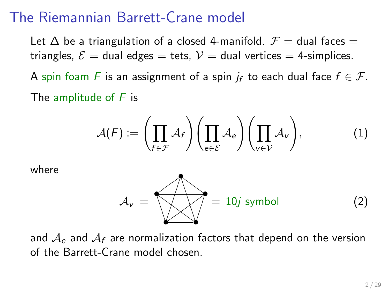## The Riemannian Barrett-Crane model

Let  $\Delta$  be a triangulation of a closed 4-manifold.  $\mathcal{F} =$  dual faces = triangles,  $\mathcal{E} =$  dual edges = tets,  $\mathcal{V} =$  dual vertices = 4-simplices.

A spin foam F is an assignment of a spin  $j_f$  to each dual face  $f \in \mathcal{F}$ .

The amplitude of  $F$  is

$$
\mathcal{A}(F) := \left(\prod_{f \in \mathcal{F}} \mathcal{A}_f\right) \left(\prod_{e \in \mathcal{E}} \mathcal{A}_e\right) \left(\prod_{v \in \mathcal{V}} \mathcal{A}_v\right),\tag{1}
$$

where

$$
A_v = \sqrt{\frac{10j \text{ symbol}}{2}}
$$
 (2)

and  $A_{\epsilon}$  and  $A_{\epsilon}$  are normalization factors that depend on the version of the Barrett-Crane model chosen.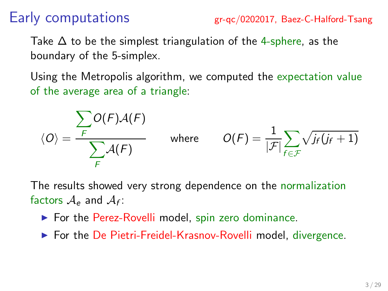Early computations example are gr-qc/0202017, Baez-C-Halford-Tsang

Take  $\Delta$  to be the simplest triangulation of the 4-sphere, as the boundary of the 5-simplex.

Using the Metropolis algorithm, we computed the expectation value of the average area of a triangle:

$$
\langle O \rangle = \frac{\sum_{F} O(F) \mathcal{A}(F)}{\sum_{F} \mathcal{A}(F)}
$$
 where  $O(F) = \frac{1}{|\mathcal{F}|} \sum_{f \in \mathcal{F}} \sqrt{j_f(j_f+1)}$ 

The results showed very strong dependence on the normalization factors  $\mathcal{A}_{e}$  and  $\mathcal{A}_{f}$ :

- ▶ For the Perez-Rovelli model, spin zero dominance.
- ▶ For the De Pietri-Freidel-Krasnov-Rovelli model, divergence.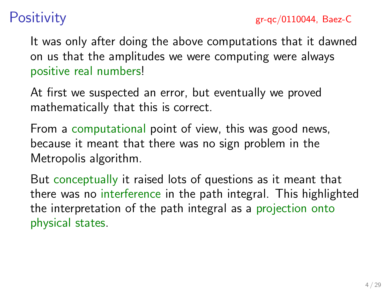It was only after doing the above computations that it dawned on us that the amplitudes we were computing were always positive real numbers!

At first we suspected an error, but eventually we proved mathematically that this is correct.

From a computational point of view, this was good news, because it meant that there was no sign problem in the Metropolis algorithm.

But conceptually it raised lots of questions as it meant that there was no interference in the path integral. This highlighted the interpretation of the path integral as a projection onto physical states.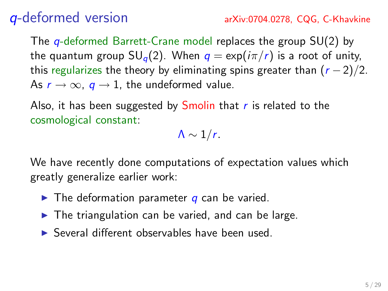### q-deformed version arXiv:0704.0278, CQG, C-Khavkine

The *q*-deformed Barrett-Crane model replaces the group  $SU(2)$  by the quantum group  $SU_a(2)$ . When  $q = \exp(i\pi/r)$  is a root of unity, this regularizes the theory by eliminating spins greater than  $(r - 2)/2$ . As  $r \to \infty$ ,  $q \to 1$ , the undeformed value.

Also, it has been suggested by Smolin that  $r$  is related to the cosmological constant:

 $\Lambda \sim 1/r$ .

We have recently done computations of expectation values which greatly generalize earlier work:

- $\blacktriangleright$  The deformation parameter q can be varied.
- $\triangleright$  The triangulation can be varied, and can be large.
- $\triangleright$  Several different observables have been used.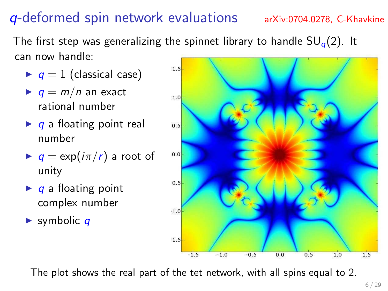# q-deformed spin network evaluations arXiv:0704.0278, C-Khavkine

The first step was generalizing the spinnet library to handle  $SU<sub>a</sub>(2)$ . It can now handle:

- $\blacktriangleright$  q = 1 (classical case)
- $\blacktriangleright$  q = m/n an exact rational number
- $\blacktriangleright$  q a floating point real number
- $\blacktriangleright$  q = exp( $i\pi/r$ ) a root of unity
- $\blacktriangleright$  q a floating point complex number
- $\triangleright$  symbolic q



The plot shows the real part of the tet network, with all spins equal to 2.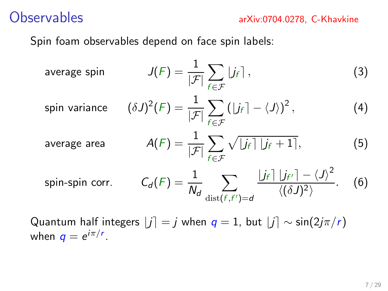Observables arXiv:0704.0278, C-Khavkine

Spin foam observables depend on face spin labels:

average spin 
$$
J(F) = \frac{1}{|\mathcal{F}|} \sum_{f \in \mathcal{F}} |f|,
$$
 (3)

spin variance 
$$
(\delta J)^2(F) = \frac{1}{|\mathcal{F}|} \sum_{f \in \mathcal{F}} (|f| - \langle J \rangle)^2,
$$
 (4)

average area 
$$
A(F) = \frac{1}{|\mathcal{F}|} \sum_{f \in \mathcal{F}} \sqrt{|f| |f + 1|},
$$
 (5)

$$
\text{spin-spin corr.} \qquad C_d(F) = \frac{1}{N_d} \sum_{\text{dist}(f, f') = d} \frac{|j_f| |j_{f'}| - \langle J \rangle^2}{\langle (\delta J)^2 \rangle}. \quad (6)
$$

Quantum half integers  $|j| = j$  when  $q = 1$ , but  $|j| \sim \sin(2j\pi/r)$ when  $q=e^{i\pi/r}$ .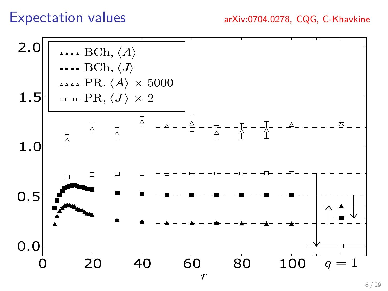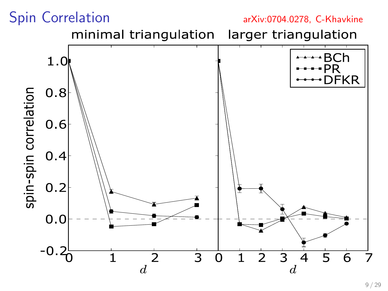# Spin Correlation arXiv:0704.0278, C-Khavkine

minimal triangulation larger triangulation

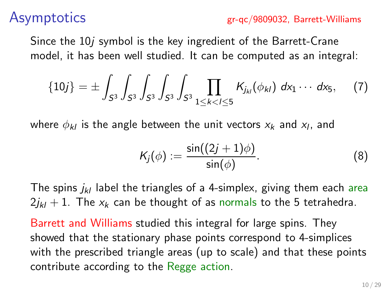### Asymptotics and a strategy of the strategy gr-qc/9809032, Barrett-Williams

Since the 10j symbol is the key ingredient of the Barrett-Crane model, it has been well studied. It can be computed as an integral:

$$
\{10j\} = \pm \int_{S^3} \int_{S^3} \int_{S^3} \int_{S^3} \int_{S^3} \prod_{1 \leq k < l \leq 5} K_{j_{kl}}(\phi_{kl}) \ dx_1 \cdots dx_5, \quad (7)
$$

where  $\phi_{\mathsf{k}\mathsf{l}}$  is the angle between the unit vectors  $x_{\mathsf{k}}$  and  $x_{\mathsf{l}}$ , and

$$
K_j(\phi) := \frac{\sin((2j+1)\phi)}{\sin(\phi)}.
$$
 (8)

The spins  $j_{kl}$  label the triangles of a 4-simplex, giving them each area  $2j_{kl} + 1$ . The  $x_k$  can be thought of as normals to the 5 tetrahedra.

Barrett and Williams studied this integral for large spins. They showed that the stationary phase points correspond to 4-simplices with the prescribed triangle areas (up to scale) and that these points contribute according to the Regge action.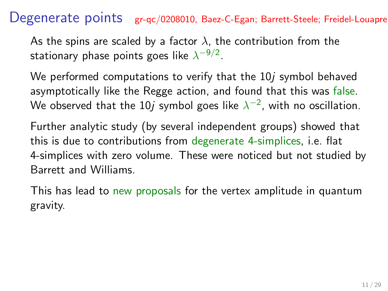### Degenerate points gr-qc/0208010, Baez-C-Egan; Barrett-Steele; Freidel-Louapre

As the spins are scaled by a factor  $\lambda$ , the contribution from the stationary phase points goes like  $\lambda^{-9/2}.$ 

We performed computations to verify that the 10*j* symbol behaved asymptotically like the Regge action, and found that this was false. We observed that the 10 $j$  symbol goes like  $\lambda^{-2}$ , with no oscillation.

Further analytic study (by several independent groups) showed that this is due to contributions from degenerate 4-simplices, i.e. flat 4-simplices with zero volume. These were noticed but not studied by Barrett and Williams.

This has lead to new proposals for the vertex amplitude in quantum gravity.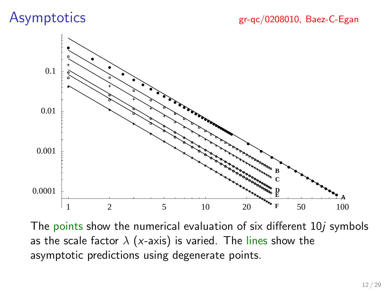Asymptotics gr-qc/0208010, Baez-C-Egan



The points show the numerical evaluation of six different 10*j* symbols as the scale factor  $\lambda$  (x-axis) is varied. The lines show the asymptotic predictions using degenerate points.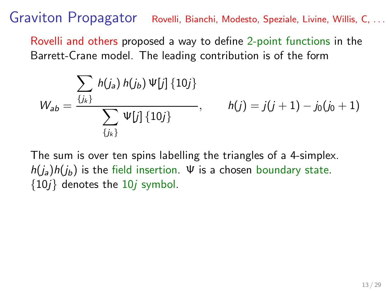Graviton Propagator Rovelli, Bianchi, Modesto, Speziale, Livine, Willis, C, . . .

Rovelli and others proposed a way to define 2-point functions in the Barrett-Crane model. The leading contribution is of the form

$$
W_{ab} = \frac{\sum_{\{j_k\}} h(j_a) h(j_b) \Psi[j] \{10j\}}{\sum_{\{j_k\}} \Psi[j] \{10j\}}, \qquad h(j) = j(j+1) - j_0(j_0+1)
$$

The sum is over ten spins labelling the triangles of a 4-simplex.  $h(j_a)h(j_b)$  is the field insertion.  $\Psi$  is a chosen boundary state.  $\{10<sub>i</sub>\}$  denotes the  $10<sub>i</sub>$  symbol.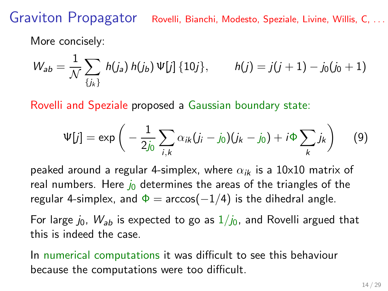Graviton Propagator Rovelli, Bianchi, Modesto, Speziale, Livine, Willis, C....

More concisely:

$$
W_{ab} = \frac{1}{\mathcal{N}} \sum_{\{j_k\}} h(j_a) h(j_b) \Psi[j] \{10j\}, \qquad h(j) = j(j+1) - j_0(j_0+1)
$$

Rovelli and Speziale proposed a Gaussian boundary state:

$$
\Psi[j] = \exp\bigg(-\frac{1}{2j_0}\sum_{i,k}\alpha_{ik}(j_i-j_0)(j_k-j_0) + i\Phi\sum_k j_k\bigg) \qquad (9)
$$

peaked around a regular 4-simplex, where  $\alpha_{ik}$  is a 10x10 matrix of real numbers. Here  $i_0$  determines the areas of the triangles of the regular 4-simplex, and  $\Phi = \arccos(-1/4)$  is the dihedral angle.

For large  $j_0$ ,  $W_{ab}$  is expected to go as  $1/j_0$ , and Rovelli argued that this is indeed the case.

In numerical computations it was difficult to see this behaviour because the computations were too difficult.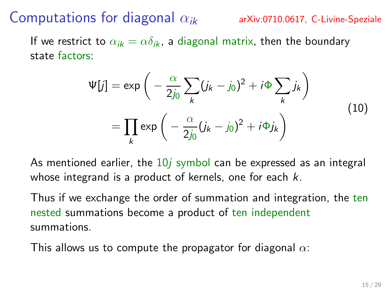## Computations for diagonal  $\alpha_{ik}$  arXiv:0710.0617, C-Livine-Speziale

If we restrict to  $\alpha_{ik} = \alpha \delta_{ik}$ , a diagonal matrix, then the boundary state factors:

$$
\Psi[j] = \exp\left(-\frac{\alpha}{2j_0} \sum_k (j_k - j_0)^2 + i\Phi \sum_k j_k\right)
$$
  
= 
$$
\prod_k \exp\left(-\frac{\alpha}{2j_0} (j_k - j_0)^2 + i\Phi j_k\right)
$$
 (10)

As mentioned earlier, the  $10i$  symbol can be expressed as an integral whose integrand is a product of kernels, one for each  $k$ .

Thus if we exchange the order of summation and integration, the ten nested summations become a product of ten independent summations.

This allows us to compute the propagator for diagonal  $\alpha$ :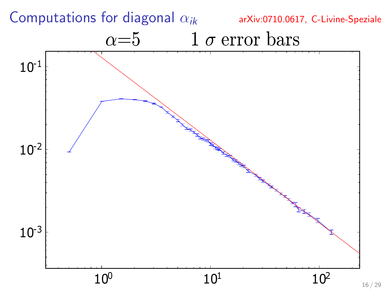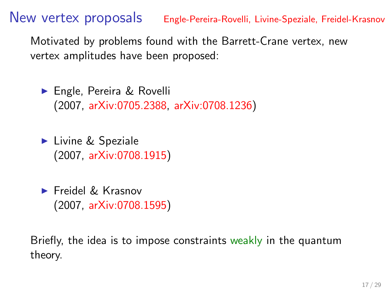New vertex proposals Engle-Pereira-Rovelli, Livine-Speziale, Freidel-Krasnov

Motivated by problems found with the Barrett-Crane vertex, new vertex amplitudes have been proposed:

► Engle, Pereira & Rovelli (2007, arXiv:0705.2388, arXiv:0708.1236)

► Livine & Speziale (2007, arXiv:0708.1915)

► Freidel & Krasnov (2007, arXiv:0708.1595)

Briefly, the idea is to impose constraints weakly in the quantum theory.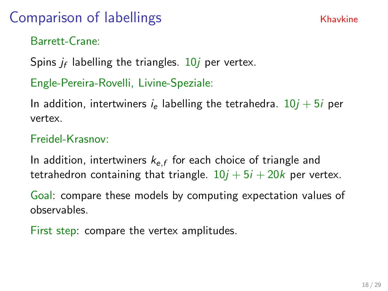# Comparison of labellings The Comparison of Labellings Khavkine

### Barrett-Crane:

Spins  $j_f$  labelling the triangles.  $10j$  per vertex.

### Engle-Pereira-Rovelli, Livine-Speziale:

In addition, intertwiners  $i_e$  labelling the tetrahedra.  $10j + 5i$  per vertex.

### Freidel-Krasnov:

In addition, intertwiners  $k_{\mathsf{e},f}$  for each choice of triangle and tetrahedron containing that triangle.  $10i + 5i + 20k$  per vertex.

Goal: compare these models by computing expectation values of observables.

First step: compare the vertex amplitudes.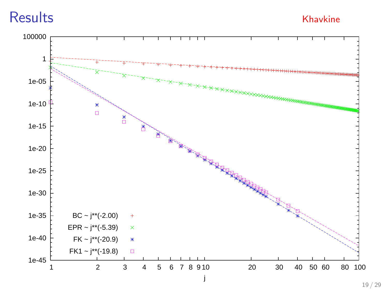Results **Results** 

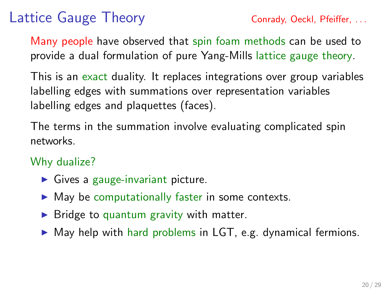# Lattice Gauge Theory Conrady, Oeckl, Pfeiffer, ...

Many people have observed that spin foam methods can be used to provide a dual formulation of pure Yang-Mills lattice gauge theory.

This is an exact duality. It replaces integrations over group variables labelling edges with summations over representation variables labelling edges and plaquettes (faces).

The terms in the summation involve evaluating complicated spin networks.

### Why dualize?

- $\blacktriangleright$  Gives a gauge-invariant picture.
- $\triangleright$  May be computationally faster in some contexts.
- $\triangleright$  Bridge to quantum gravity with matter.
- $\triangleright$  May help with hard problems in LGT, e.g. dynamical fermions.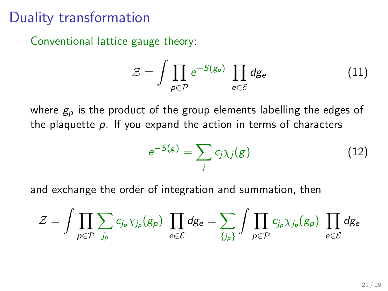## Duality transformation

Conventional lattice gauge theory:

$$
\mathcal{Z} = \int \prod_{\rho \in \mathcal{P}} e^{-S(g_{\rho})} \prod_{e \in \mathcal{E}} dg_e \tag{11}
$$

where  $g_p$  is the product of the group elements labelling the edges of the plaquette  $p$ . If you expand the action in terms of characters

$$
e^{-S(g)} = \sum_j c_j \chi_j(g) \tag{12}
$$

and exchange the order of integration and summation, then

$$
\mathcal{Z} = \int \prod_{\rho \in \mathcal{P}} \sum_{j_\rho} c_{j_\rho} \chi_{j_\rho}(g_\rho) \; \prod_{\mathsf{e} \in \mathcal{E}} d g_\mathsf{e} = \sum_{\{j_\rho\}} \int \prod_{\rho \in \mathcal{P}} c_{j_\rho} \chi_{j_\rho}(g_\rho) \; \prod_{\mathsf{e} \in \mathcal{E}} d g_\mathsf{e}
$$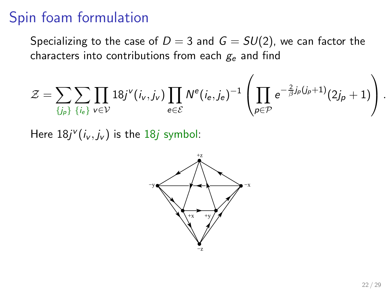## Spin foam formulation

Specializing to the case of  $D = 3$  and  $G = SU(2)$ , we can factor the characters into contributions from each  $g_e$  and find

$$
\mathcal{Z} = \sum_{\{j_\rho\}} \sum_{\{i_e\}} \prod_{\mathsf{\nu} \in \mathcal{V}} 18j^\mathsf{\nu}(i_\mathsf{\nu},j_\mathsf{\nu}) \prod_{\mathsf{e} \in \mathcal{E}} \mathsf{N}^\mathsf{e}(i_\mathsf{e},j_\mathsf{e})^{-1} \left( \prod_{\rho \in \mathcal{P}} \mathsf{e}^{-\frac{2}{\beta}j_\rho(j_\rho+1)} (2j_\rho+1) \right).
$$

Here  $18j^{\vee}(i_{\vee}, j_{\vee})$  is the  $18j$  symbol:

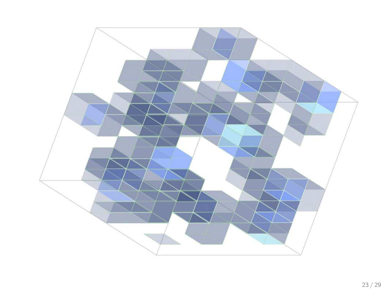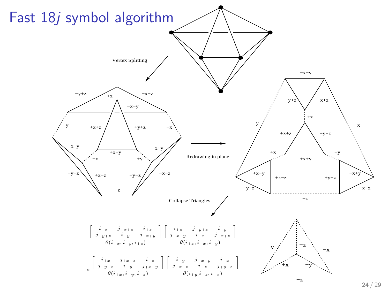

24 / 29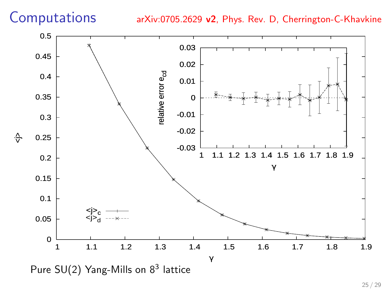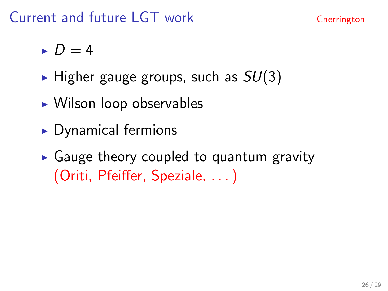# Current and future LGT work Current and future LGT work

 $\triangleright$  D = 4

- $\triangleright$  Higher gauge groups, such as  $SU(3)$
- $\triangleright$  Wilson loop observables
- $\triangleright$  Dynamical fermions
- $\triangleright$  Gauge theory coupled to quantum gravity (Oriti, Pfeiffer, Speziale, . . . )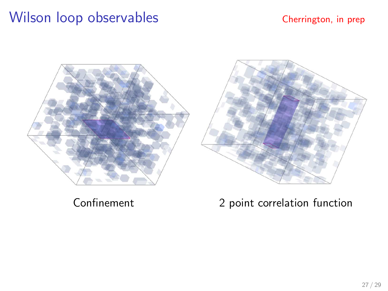## Wilson loop observables Cherrington, in prep





### Confinement 2 point correlation function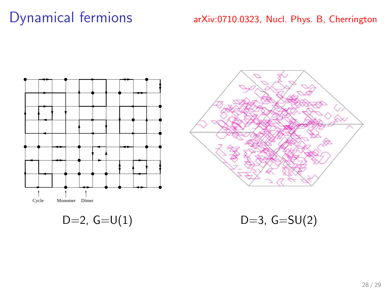# Dynamical fermions arXiv:0710.0323, Nucl. Phys. B, Cherrington



D=2,  $G=U(1)$  D=3,  $G=SU(2)$